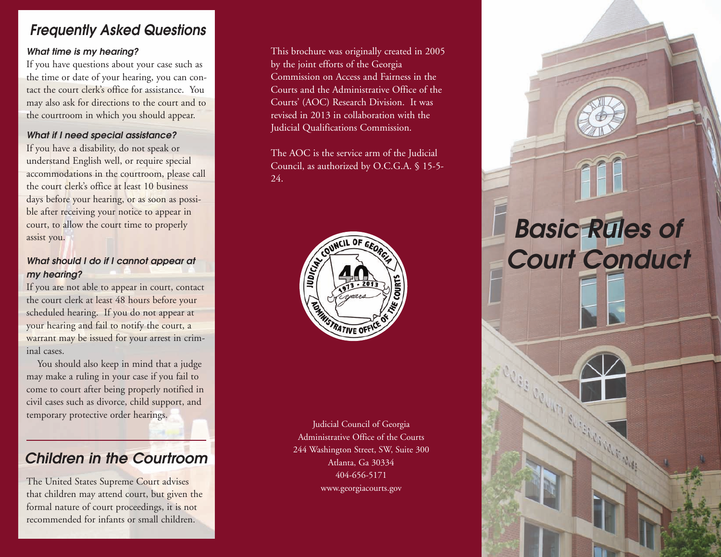#### *Frequently Asked Questions*

#### *What time is my hearing?*

If you have questions about your case such as the time or date of your hearing, you can contact the court clerk's office for assistance. You may also ask for directions to the court and to the courtroom in which you should appear.

#### *What if I need special assistance?*

If you have a disability, do not speak or understand English well, or require special accommodations in the courtroom, please call the court clerk's office at least 10 business days before your hearing, or as soon as possible after receiving your notice to appear in court, to allow the court time to properly assist you.

#### *What should I do if I cannot appear at my hearing?*

If you are not able to appear in court, contact the court clerk at least 48 hours before your scheduled hearing. If you do not appear at your hearing and fail to notify the court, a warrant may be issued for your arrest in criminal cases.

You should also keep in mind that a judge may make a ruling in your case if you fail to come to court after being properly notified in civil cases such as divorce, child support, and temporary protective order hearings.

#### *Children in the Courtroom*

The United States Supreme Court advises that children may attend court, but given the formal nature of court proceedings, it is not recommended for infants or small children.

This brochure was originally created in 2005 by the joint efforts of the Georgia Commission on Access and Fairness in the Courts and the Administrative Office of the Courts' (AOC) Research Division. It was revised in 2013 in collaboration with the Judicial Qualifications Commission.

The AOC is the service arm of the Judicial Council, as authorized by O.C.G.A. § 15-5- 24.



Judicial Council of Georgia Administrative Office of the Courts 244 Washington Street, SW, Suite 300 Atlanta, Ga 30334 404-656-5171 www.georgiacourts.gov

# *Basic Rules of Court Conduct*